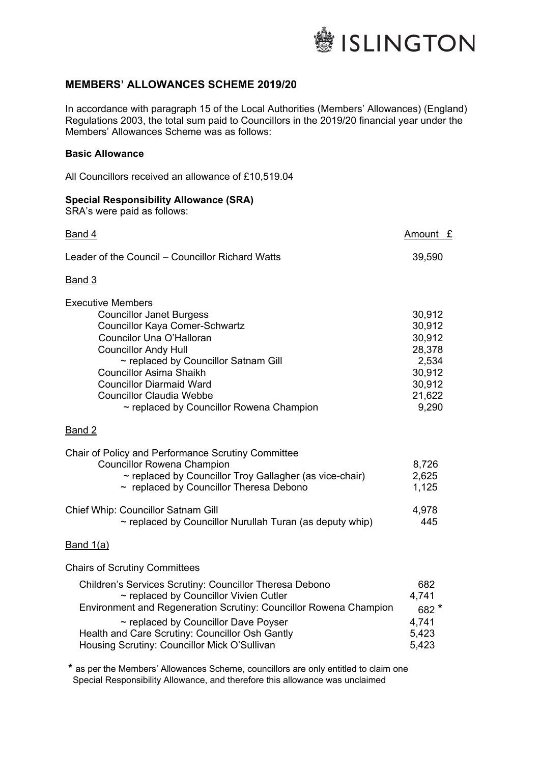

## **MEMBERS' ALLOWANCES SCHEME 2019/20**

In accordance with paragraph 15 of the Local Authorities (Members' Allowances) (England) Regulations 2003, the total sum paid to Councillors in the 2019/20 financial year under the Members' Allowances Scheme was as follows:

### **Basic Allowance**

All Councillors received an allowance of £10,519.04

| <b>Special Responsibility Allowance (SRA)</b><br>SRA's were paid as follows:                                                     |                            |
|----------------------------------------------------------------------------------------------------------------------------------|----------------------------|
| Band 4                                                                                                                           | Amount £                   |
| Leader of the Council – Councillor Richard Watts                                                                                 | 39,590                     |
| Band 3                                                                                                                           |                            |
| <b>Executive Members</b><br><b>Councillor Janet Burgess</b><br><b>Councillor Kaya Comer-Schwartz</b><br>Councilor Una O'Halloran | 30,912<br>30,912<br>30,912 |
| <b>Councillor Andy Hull</b><br>$\sim$ replaced by Councillor Satnam Gill                                                         | 28,378<br>2,534            |
| Councillor Asima Shaikh<br><b>Councillor Diarmaid Ward</b><br>Councillor Claudia Webbe                                           | 30,912<br>30,912<br>21,622 |

 $\sim$  replaced by Councillor Rowena Champion

#### Band 2

| Chair of Policy and Performance Scrutiny Committee                                                  |              |
|-----------------------------------------------------------------------------------------------------|--------------|
| <b>Councillor Rowena Champion</b>                                                                   | 8,726        |
| ~ replaced by Councillor Troy Gallagher (as vice-chair)                                             | 2,625        |
| $\sim$ replaced by Councillor Theresa Debono                                                        | 1,125        |
| Chief Whip: Councillor Satnam Gill<br>$\sim$ replaced by Councillor Nurullah Turan (as deputy whip) | 4,978<br>445 |

Councillor Claudia Webbe 21,622<br>Peplaced by Councillor Rowena Champion 2008 200

#### Band 1(a)

Chairs of Scrutiny Committees

| Children's Services Scrutiny: Councillor Theresa Debono           | 682    |
|-------------------------------------------------------------------|--------|
| $\sim$ replaced by Councillor Vivien Cutler                       | 4.741  |
| Environment and Regeneration Scrutiny: Councillor Rowena Champion | $682*$ |
| $\sim$ replaced by Councillor Dave Poyser                         | 4.741  |
| Health and Care Scrutiny: Councillor Osh Gantly                   | 5,423  |
| Housing Scrutiny: Councillor Mick O'Sullivan                      | 5,423  |

**\*** as per the Members' Allowances Scheme, councillors are only entitled to claim one Special Responsibility Allowance, and therefore this allowance was unclaimed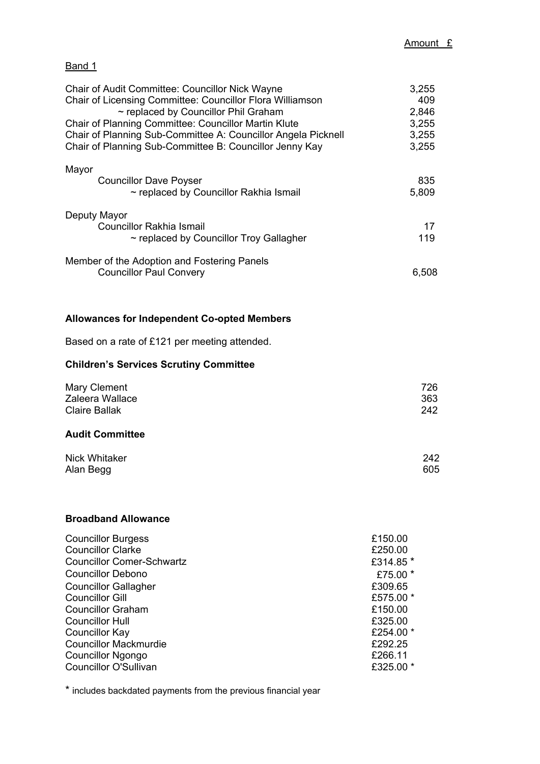# Band 1

| <b>Chair of Audit Committee: Councillor Nick Wayne</b><br>Chair of Licensing Committee: Councillor Flora Williamson<br>~ replaced by Councillor Phil Graham                             | 3,255<br>409<br>2,846                                              |
|-----------------------------------------------------------------------------------------------------------------------------------------------------------------------------------------|--------------------------------------------------------------------|
| <b>Chair of Planning Committee: Councillor Martin Klute</b><br>Chair of Planning Sub-Committee A: Councillor Angela Picknell<br>Chair of Planning Sub-Committee B: Councillor Jenny Kay | 3,255<br>3,255<br>3,255                                            |
| Mayor                                                                                                                                                                                   |                                                                    |
| <b>Councillor Dave Poyser</b><br>~ replaced by Councillor Rakhia Ismail                                                                                                                 | 835<br>5,809                                                       |
| Deputy Mayor<br><b>Councillor Rakhia Ismail</b><br>$\sim$ replaced by Councillor Troy Gallagher                                                                                         | 17<br>119                                                          |
| Member of the Adoption and Fostering Panels<br><b>Councillor Paul Convery</b>                                                                                                           | 6,508                                                              |
| <b>Allowances for Independent Co-opted Members</b>                                                                                                                                      |                                                                    |
| Based on a rate of £121 per meeting attended.                                                                                                                                           |                                                                    |
| <b>Children's Services Scrutiny Committee</b>                                                                                                                                           |                                                                    |
| <b>Mary Clement</b><br>Zaleera Wallace<br><b>Claire Ballak</b>                                                                                                                          | 726<br>363<br>242                                                  |
| <b>Audit Committee</b>                                                                                                                                                                  |                                                                    |
| Nick Whitaker<br>Alan Begg                                                                                                                                                              | 242<br>605                                                         |
| <b>Broadband Allowance</b>                                                                                                                                                              |                                                                    |
| <b>Councillor Burgess</b><br><b>Councillor Clarke</b><br><b>Councillor Comer-Schwartz</b><br><b>Councillor Debono</b>                                                                   | £150.00<br>£250.00<br>£314.85 *<br>£75.00 *                        |
| <b>Councillor Gallagher</b><br><b>Councillor Gill</b><br><b>Councillor Graham</b><br><b>Councillor Hull</b><br>Councillor Kay<br><b>Councillor Mackmurdie</b>                           | £309.65<br>£575.00 *<br>£150.00<br>£325.00<br>£254.00 *<br>£292.25 |
| <b>Councillor Ngongo</b>                                                                                                                                                                | £266.11                                                            |

\* includes backdated payments from the previous financial year

Councillor O'Sullivan

Councillor Ngongo **2008**<br>Councillor O'Sullivan **2008**<br>E325.00 \*